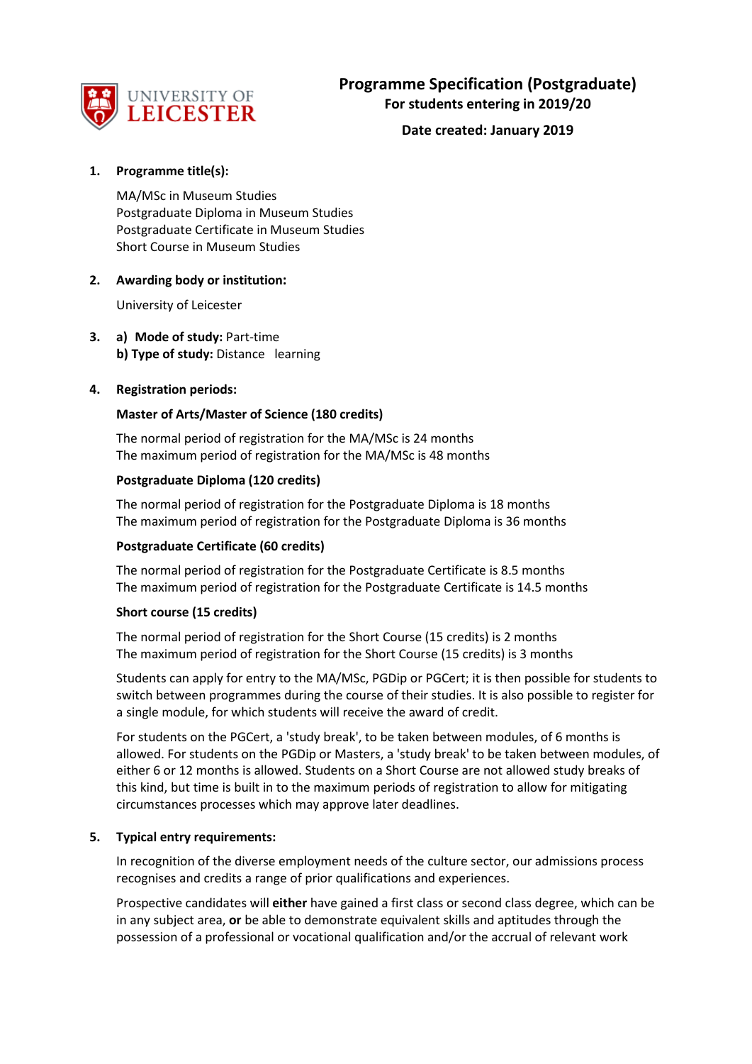

# **1. Programme title(s):**

MA/MSc in Museum Studies Postgraduate Diploma in Museum Studies Postgraduate Certificate in Museum Studies Short Course in Museum Studies

#### **2. Awarding body or institution:**

University of Leicester

**3. a) Mode of study:** Part-time **b) Type of study:** Distance learning

### **4. Registration periods:**

### **Master of Arts/Master of Science (180 credits)**

The normal period of registration for the MA/MSc is 24 months The maximum period of registration for the MA/MSc is 48 months

#### **Postgraduate Diploma (120 credits)**

The normal period of registration for the Postgraduate Diploma is 18 months The maximum period of registration for the Postgraduate Diploma is 36 months

#### **Postgraduate Certificate (60 credits)**

The normal period of registration for the Postgraduate Certificate is 8.5 months The maximum period of registration for the Postgraduate Certificate is 14.5 months

#### **Short course (15 credits)**

The normal period of registration for the Short Course (15 credits) is 2 months The maximum period of registration for the Short Course (15 credits) is 3 months

Students can apply for entry to the MA/MSc, PGDip or PGCert; it is then possible for students to switch between programmes during the course of their studies. It is also possible to register for a single module, for which students will receive the award of credit.

For students on the PGCert, a 'study break', to be taken between modules, of 6 months is allowed. For students on the PGDip or Masters, a 'study break' to be taken between modules, of either 6 or 12 months is allowed. Students on a Short Course are not allowed study breaks of this kind, but time is built in to the maximum periods of registration to allow for mitigating circumstances processes which may approve later deadlines.

#### **5. Typical entry requirements:**

In recognition of the diverse employment needs of the culture sector, our admissions process recognises and credits a range of prior qualifications and experiences.

Prospective candidates will **either** have gained a first class or second class degree, which can be in any subject area, **or** be able to demonstrate equivalent skills and aptitudes through the possession of a professional or vocational qualification and/or the accrual of relevant work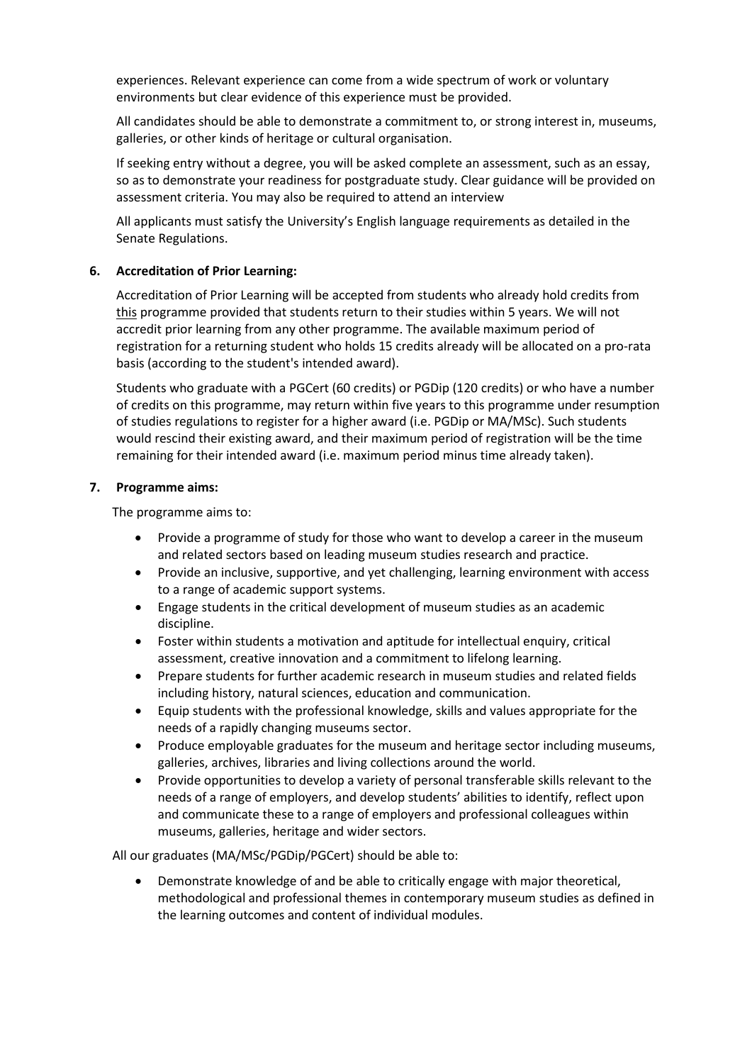experiences. Relevant experience can come from a wide spectrum of work or voluntary environments but clear evidence of this experience must be provided.

All candidates should be able to demonstrate a commitment to, or strong interest in, museums, galleries, or other kinds of heritage or cultural organisation.

If seeking entry without a degree, you will be asked complete an assessment, such as an essay, so as to demonstrate your readiness for postgraduate study. Clear guidance will be provided on assessment criteria. You may also be required to attend an interview

All applicants must satisfy the University's English language requirements as detailed in the Senate Regulations.

### **6. Accreditation of Prior Learning:**

Accreditation of Prior Learning will be accepted from students who already hold credits from this programme provided that students return to their studies within 5 years. We will not accredit prior learning from any other programme. The available maximum period of registration for a returning student who holds 15 credits already will be allocated on a pro-rata basis (according to the student's intended award).

Students who graduate with a PGCert (60 credits) or PGDip (120 credits) or who have a number of credits on this programme, may return within five years to this programme under resumption of studies regulations to register for a higher award (i.e. PGDip or MA/MSc). Such students would rescind their existing award, and their maximum period of registration will be the time remaining for their intended award (i.e. maximum period minus time already taken).

#### **7. Programme aims:**

The programme aims to:

- Provide a programme of study for those who want to develop a career in the museum and related sectors based on leading museum studies research and practice.
- Provide an inclusive, supportive, and yet challenging, learning environment with access to a range of academic support systems.
- Engage students in the critical development of museum studies as an academic discipline.
- Foster within students a motivation and aptitude for intellectual enquiry, critical assessment, creative innovation and a commitment to lifelong learning.
- Prepare students for further academic research in museum studies and related fields including history, natural sciences, education and communication.
- Equip students with the professional knowledge, skills and values appropriate for the needs of a rapidly changing museums sector.
- Produce employable graduates for the museum and heritage sector including museums, galleries, archives, libraries and living collections around the world.
- Provide opportunities to develop a variety of personal transferable skills relevant to the needs of a range of employers, and develop students' abilities to identify, reflect upon and communicate these to a range of employers and professional colleagues within museums, galleries, heritage and wider sectors.

All our graduates (MA/MSc/PGDip/PGCert) should be able to:

• Demonstrate knowledge of and be able to critically engage with major theoretical, methodological and professional themes in contemporary museum studies as defined in the learning outcomes and content of individual modules.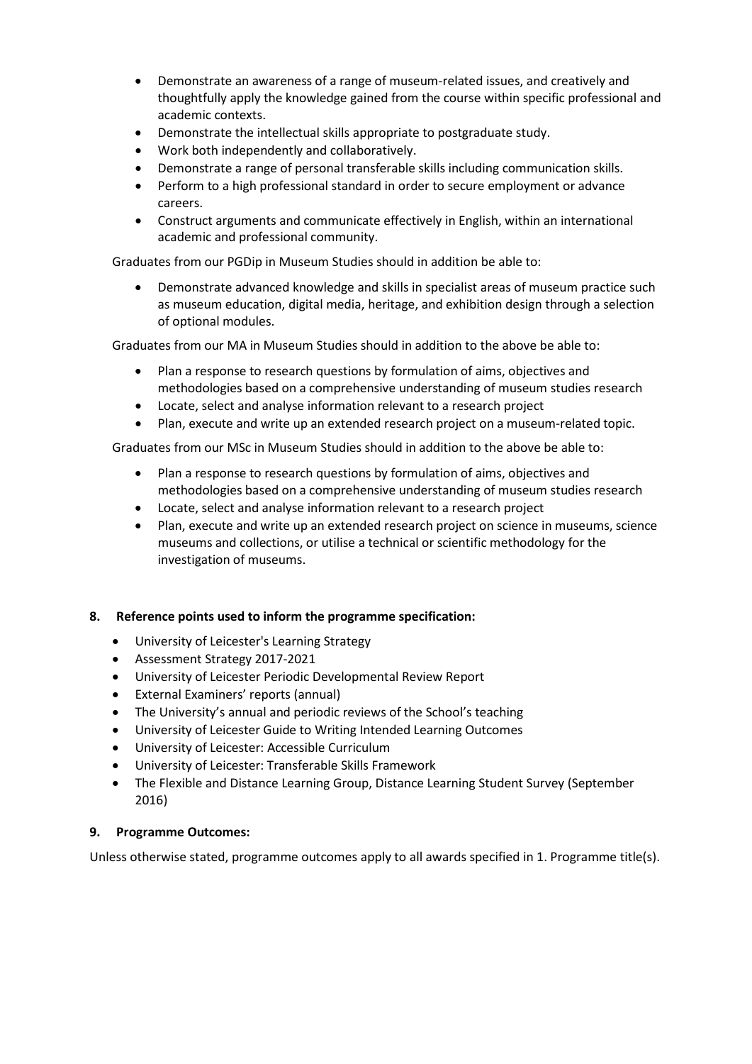- Demonstrate an awareness of a range of museum-related issues, and creatively and thoughtfully apply the knowledge gained from the course within specific professional and academic contexts.
- Demonstrate the intellectual skills appropriate to postgraduate study.
- Work both independently and collaboratively.
- Demonstrate a range of personal transferable skills including communication skills.
- Perform to a high professional standard in order to secure employment or advance careers.
- Construct arguments and communicate effectively in English, within an international academic and professional community.

Graduates from our PGDip in Museum Studies should in addition be able to:

• Demonstrate advanced knowledge and skills in specialist areas of museum practice such as museum education, digital media, heritage, and exhibition design through a selection of optional modules.

Graduates from our MA in Museum Studies should in addition to the above be able to:

- Plan a response to research questions by formulation of aims, objectives and methodologies based on a comprehensive understanding of museum studies research
- Locate, select and analyse information relevant to a research project
- Plan, execute and write up an extended research project on a museum-related topic.

Graduates from our MSc in Museum Studies should in addition to the above be able to:

- Plan a response to research questions by formulation of aims, objectives and methodologies based on a comprehensive understanding of museum studies research
- Locate, select and analyse information relevant to a research project
- Plan, execute and write up an extended research project on science in museums, science museums and collections, or utilise a technical or scientific methodology for the investigation of museums.

#### **8. Reference points used to inform the programme specification:**

- University of Leicester's Learning Strategy
- Assessment Strategy 2017-2021
- University of Leicester Periodic Developmental Review Report
- External Examiners' reports (annual)
- The University's annual and periodic reviews of the School's teaching
- University of Leicester Guide to Writing Intended Learning Outcomes
- University of Leicester: Accessible Curriculum
- University of Leicester: Transferable Skills Framework
- The Flexible and Distance Learning Group, Distance Learning Student Survey (September 2016)

#### **9. Programme Outcomes:**

Unless otherwise stated, programme outcomes apply to all awards specified in 1. Programme title(s).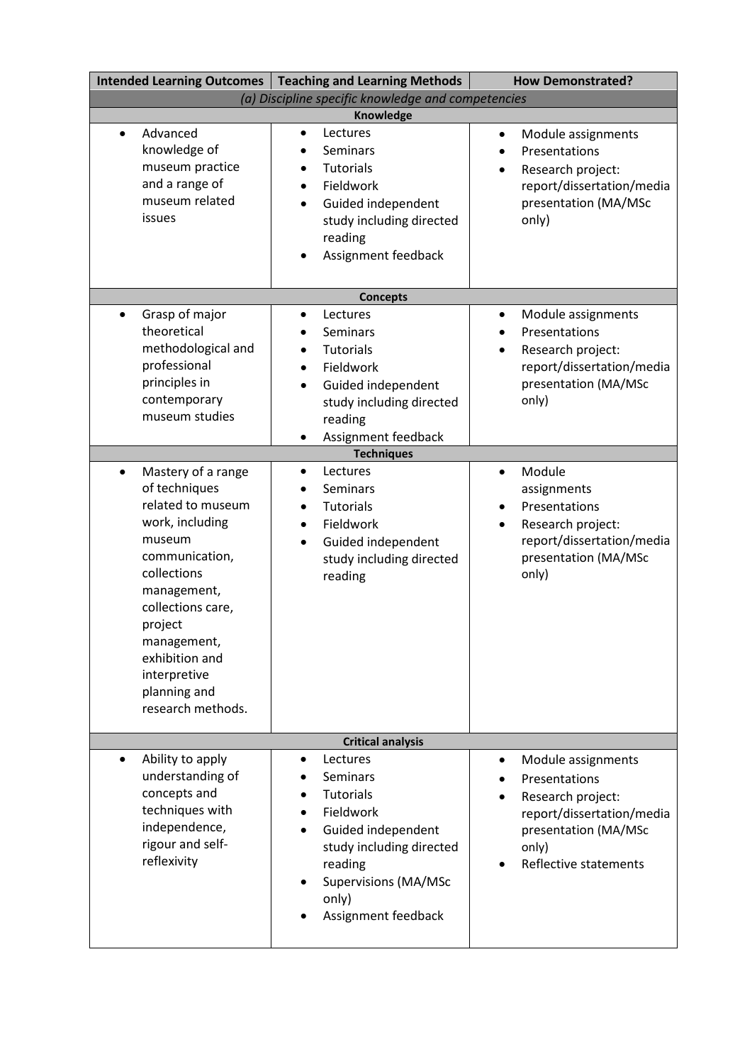|                                                                                                                                                                                                                                                                          | Intended Learning Outcomes   Teaching and Learning Methods                                                                                                                                                                            | <b>How Demonstrated?</b>                                                                                                                                     |  |
|--------------------------------------------------------------------------------------------------------------------------------------------------------------------------------------------------------------------------------------------------------------------------|---------------------------------------------------------------------------------------------------------------------------------------------------------------------------------------------------------------------------------------|--------------------------------------------------------------------------------------------------------------------------------------------------------------|--|
| (a) Discipline specific knowledge and competencies                                                                                                                                                                                                                       |                                                                                                                                                                                                                                       |                                                                                                                                                              |  |
| Advanced<br>$\bullet$<br>knowledge of<br>museum practice<br>and a range of<br>museum related<br>issues                                                                                                                                                                   | Knowledge<br>Lectures<br>$\bullet$<br>Seminars<br><b>Tutorials</b><br>$\bullet$<br>Fieldwork<br>$\bullet$<br>Guided independent<br>$\bullet$<br>study including directed<br>reading<br>Assignment feedback<br>$\bullet$               | Module assignments<br>$\bullet$<br>Presentations<br>Research project:<br>report/dissertation/media<br>presentation (MA/MSc<br>only)                          |  |
|                                                                                                                                                                                                                                                                          | <b>Concepts</b>                                                                                                                                                                                                                       |                                                                                                                                                              |  |
| Grasp of major<br>$\bullet$<br>theoretical<br>methodological and<br>professional<br>principles in<br>contemporary<br>museum studies                                                                                                                                      | Lectures<br>$\bullet$<br>Seminars<br>$\bullet$<br><b>Tutorials</b><br>$\bullet$<br>Fieldwork<br>$\bullet$<br>Guided independent<br>$\bullet$<br>study including directed<br>reading<br>Assignment feedback<br>٠<br><b>Techniques</b>  | Module assignments<br>$\bullet$<br>Presentations<br>Research project:<br>report/dissertation/media<br>presentation (MA/MSc<br>only)                          |  |
| Mastery of a range<br>$\bullet$<br>of techniques<br>related to museum<br>work, including<br>museum<br>communication,<br>collections<br>management,<br>collections care,<br>project<br>management,<br>exhibition and<br>interpretive<br>planning and<br>research methods. | Lectures<br>$\bullet$<br>Seminars<br>$\bullet$<br>Tutorials<br>$\bullet$<br>Fieldwork<br>$\bullet$<br>Guided independent<br>$\bullet$<br>study including directed<br>reading                                                          | Module<br>assignments<br>Presentations<br>Research project:<br>$\bullet$<br>report/dissertation/media<br>presentation (MA/MSc<br>only)                       |  |
| <b>Critical analysis</b>                                                                                                                                                                                                                                                 |                                                                                                                                                                                                                                       |                                                                                                                                                              |  |
| Ability to apply<br>$\bullet$<br>understanding of<br>concepts and<br>techniques with<br>independence,<br>rigour and self-<br>reflexivity                                                                                                                                 | Lectures<br>$\bullet$<br>Seminars<br><b>Tutorials</b><br>$\bullet$<br>Fieldwork<br>$\bullet$<br>Guided independent<br>$\bullet$<br>study including directed<br>reading<br><b>Supervisions (MA/MSc</b><br>only)<br>Assignment feedback | Module assignments<br>$\bullet$<br>Presentations<br>Research project:<br>report/dissertation/media<br>presentation (MA/MSc<br>only)<br>Reflective statements |  |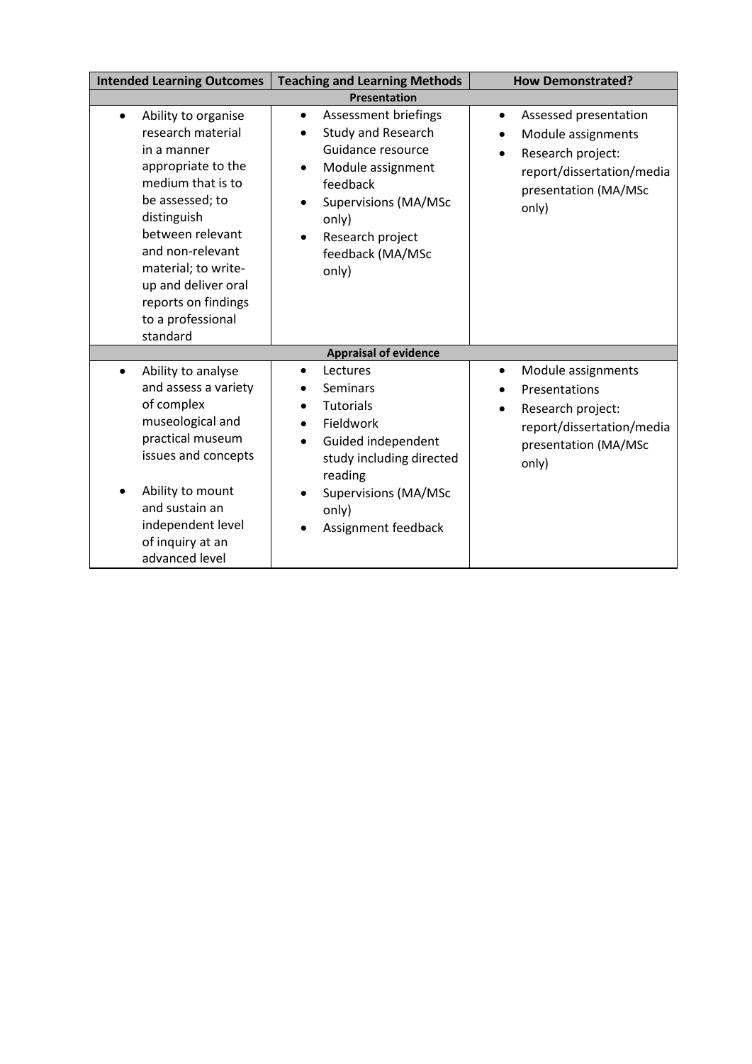| <b>Intended Learning Outcomes</b>                                                                                                                                                                                                                                                               | <b>Teaching and Learning Methods</b>                                                                                                                                                                                                                      | <b>How Demonstrated?</b>                                                                                                                                 |  |
|-------------------------------------------------------------------------------------------------------------------------------------------------------------------------------------------------------------------------------------------------------------------------------------------------|-----------------------------------------------------------------------------------------------------------------------------------------------------------------------------------------------------------------------------------------------------------|----------------------------------------------------------------------------------------------------------------------------------------------------------|--|
| <b>Presentation</b>                                                                                                                                                                                                                                                                             |                                                                                                                                                                                                                                                           |                                                                                                                                                          |  |
| Ability to organise<br>$\bullet$<br>research material<br>in a manner<br>appropriate to the<br>medium that is to<br>be assessed; to<br>distinguish<br>between relevant<br>and non-relevant<br>material; to write-<br>up and deliver oral<br>reports on findings<br>to a professional<br>standard | Assessment briefings<br>$\bullet$<br>Study and Research<br>Guidance resource<br>Module assignment<br>$\bullet$<br>feedback<br><b>Supervisions (MA/MSc</b><br>only)<br>Research project<br>feedback (MA/MSc<br>only)                                       | Assessed presentation<br>$\bullet$<br>Module assignments<br>Research project:<br>$\bullet$<br>report/dissertation/media<br>presentation (MA/MSc<br>only) |  |
|                                                                                                                                                                                                                                                                                                 | <b>Appraisal of evidence</b>                                                                                                                                                                                                                              |                                                                                                                                                          |  |
| Ability to analyse<br>$\bullet$<br>and assess a variety<br>of complex<br>museological and<br>practical museum<br>issues and concepts<br>Ability to mount<br>and sustain an<br>independent level<br>of inquiry at an<br>advanced level                                                           | Lectures<br>$\bullet$<br><b>Seminars</b><br>$\bullet$<br><b>Tutorials</b><br>$\bullet$<br>Fieldwork<br>$\bullet$<br>Guided independent<br>$\bullet$<br>study including directed<br>reading<br><b>Supervisions (MA/MSc</b><br>only)<br>Assignment feedback | Module assignments<br>$\bullet$<br>Presentations<br>Research project:<br>$\bullet$<br>report/dissertation/media<br>presentation (MA/MSc<br>only)         |  |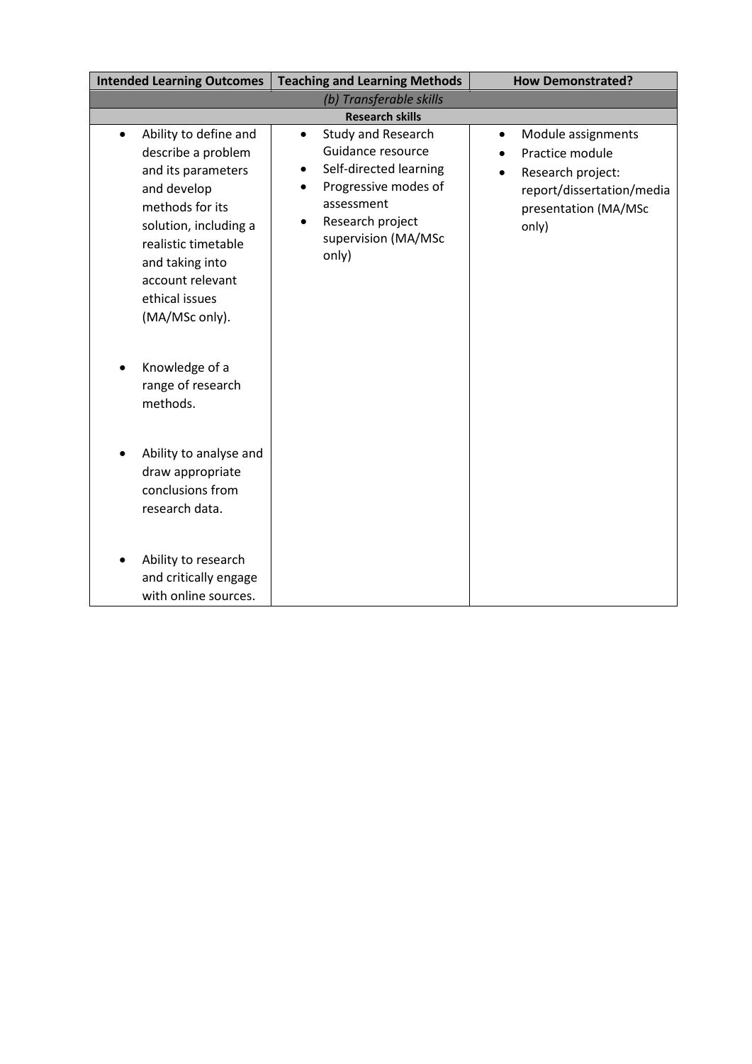| <b>Intended Learning Outcomes</b>                                                                                                                                                                                                           | <b>Teaching and Learning Methods</b>                                                                                                                                                                      | <b>How Demonstrated?</b>                                                                                                                           |  |
|---------------------------------------------------------------------------------------------------------------------------------------------------------------------------------------------------------------------------------------------|-----------------------------------------------------------------------------------------------------------------------------------------------------------------------------------------------------------|----------------------------------------------------------------------------------------------------------------------------------------------------|--|
| (b) Transferable skills                                                                                                                                                                                                                     |                                                                                                                                                                                                           |                                                                                                                                                    |  |
| <b>Research skills</b>                                                                                                                                                                                                                      |                                                                                                                                                                                                           |                                                                                                                                                    |  |
| Ability to define and<br>$\bullet$<br>describe a problem<br>and its parameters<br>and develop<br>methods for its<br>solution, including a<br>realistic timetable<br>and taking into<br>account relevant<br>ethical issues<br>(MA/MSc only). | <b>Study and Research</b><br>$\bullet$<br>Guidance resource<br>Self-directed learning<br>Progressive modes of<br>$\bullet$<br>assessment<br>Research project<br>$\bullet$<br>supervision (MA/MSc<br>only) | Module assignments<br>$\bullet$<br>Practice module<br>Research project:<br>$\bullet$<br>report/dissertation/media<br>presentation (MA/MSc<br>only) |  |
| Knowledge of a<br>range of research<br>methods.                                                                                                                                                                                             |                                                                                                                                                                                                           |                                                                                                                                                    |  |
| Ability to analyse and<br>draw appropriate<br>conclusions from<br>research data.                                                                                                                                                            |                                                                                                                                                                                                           |                                                                                                                                                    |  |
| Ability to research<br>and critically engage<br>with online sources.                                                                                                                                                                        |                                                                                                                                                                                                           |                                                                                                                                                    |  |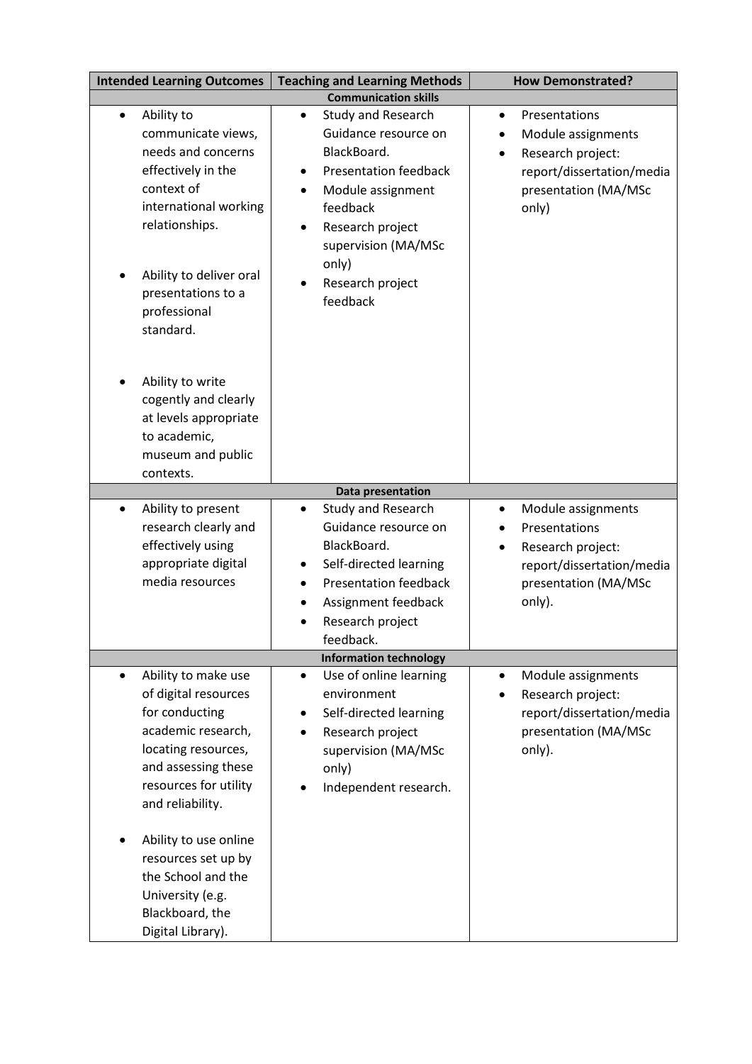| <b>Intended Learning Outcomes</b>                                                                                                                                                                                                | <b>Teaching and Learning Methods</b>                                                                                                                                                                                                                  | <b>How Demonstrated?</b>                                                                                                            |  |
|----------------------------------------------------------------------------------------------------------------------------------------------------------------------------------------------------------------------------------|-------------------------------------------------------------------------------------------------------------------------------------------------------------------------------------------------------------------------------------------------------|-------------------------------------------------------------------------------------------------------------------------------------|--|
| <b>Communication skills</b>                                                                                                                                                                                                      |                                                                                                                                                                                                                                                       |                                                                                                                                     |  |
| Ability to<br>$\bullet$<br>communicate views,<br>needs and concerns<br>effectively in the<br>context of<br>international working<br>relationships.<br>Ability to deliver oral<br>presentations to a<br>professional<br>standard. | Study and Research<br>$\bullet$<br>Guidance resource on<br>BlackBoard.<br><b>Presentation feedback</b><br>$\bullet$<br>Module assignment<br>$\bullet$<br>feedback<br>Research project<br>supervision (MA/MSc<br>only)<br>Research project<br>feedback | Presentations<br>$\bullet$<br>Module assignments<br>Research project:<br>report/dissertation/media<br>presentation (MA/MSc<br>only) |  |
| Ability to write<br>cogently and clearly<br>at levels appropriate<br>to academic,<br>museum and public<br>contexts.                                                                                                              |                                                                                                                                                                                                                                                       |                                                                                                                                     |  |
|                                                                                                                                                                                                                                  | Data presentation                                                                                                                                                                                                                                     |                                                                                                                                     |  |
| Ability to present<br>$\bullet$<br>research clearly and<br>effectively using<br>appropriate digital<br>media resources                                                                                                           | Study and Research<br>$\bullet$<br>Guidance resource on<br>BlackBoard.<br>Self-directed learning<br>٠<br><b>Presentation feedback</b><br>٠<br>Assignment feedback<br>٠<br>Research project<br>feedback.                                               | Module assignments<br>٠<br>Presentations<br>Research project:<br>report/dissertation/media<br>presentation (MA/MSc<br>only).        |  |
| <b>Information technology</b>                                                                                                                                                                                                    |                                                                                                                                                                                                                                                       |                                                                                                                                     |  |
| Ability to make use<br>of digital resources<br>for conducting<br>academic research,<br>locating resources,<br>and assessing these<br>resources for utility<br>and reliability.                                                   | Use of online learning<br>$\bullet$<br>environment<br>Self-directed learning<br>Research project<br>$\bullet$<br>supervision (MA/MSc<br>only)<br>Independent research.                                                                                | Module assignments<br>$\bullet$<br>Research project:<br>report/dissertation/media<br>presentation (MA/MSc<br>only).                 |  |
| Ability to use online<br>resources set up by<br>the School and the<br>University (e.g.<br>Blackboard, the<br>Digital Library).                                                                                                   |                                                                                                                                                                                                                                                       |                                                                                                                                     |  |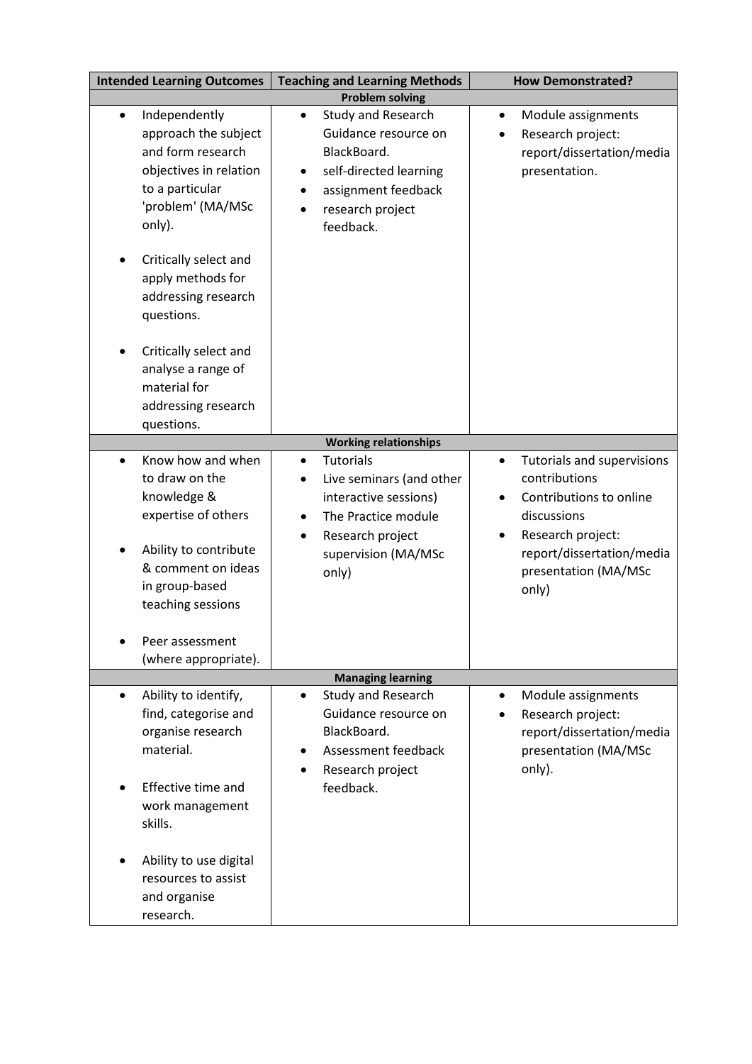| <b>Intended Learning Outcomes</b>                                                                                                                                                               | <b>Teaching and Learning Methods</b>                                                                                                                                                         | <b>How Demonstrated?</b>                                                                                                                                                                           |  |
|-------------------------------------------------------------------------------------------------------------------------------------------------------------------------------------------------|----------------------------------------------------------------------------------------------------------------------------------------------------------------------------------------------|----------------------------------------------------------------------------------------------------------------------------------------------------------------------------------------------------|--|
| <b>Problem solving</b>                                                                                                                                                                          |                                                                                                                                                                                              |                                                                                                                                                                                                    |  |
| Independently<br>$\bullet$<br>approach the subject<br>and form research<br>objectives in relation<br>to a particular<br>'problem' (MA/MSc<br>only).                                             | Study and Research<br>$\bullet$<br>Guidance resource on<br>BlackBoard.<br>self-directed learning<br>$\bullet$<br>assignment feedback<br>٠<br>research project<br>$\bullet$<br>feedback.      | Module assignments<br>$\bullet$<br>Research project:<br>٠<br>report/dissertation/media<br>presentation.                                                                                            |  |
| Critically select and<br>apply methods for<br>addressing research<br>questions.                                                                                                                 |                                                                                                                                                                                              |                                                                                                                                                                                                    |  |
| Critically select and<br>analyse a range of<br>material for<br>addressing research<br>questions.                                                                                                |                                                                                                                                                                                              |                                                                                                                                                                                                    |  |
|                                                                                                                                                                                                 | <b>Working relationships</b>                                                                                                                                                                 |                                                                                                                                                                                                    |  |
| Know how and when<br>$\bullet$<br>to draw on the<br>knowledge &<br>expertise of others<br>Ability to contribute<br>& comment on ideas<br>in group-based<br>teaching sessions<br>Peer assessment | <b>Tutorials</b><br>$\bullet$<br>Live seminars (and other<br>٠<br>interactive sessions)<br>The Practice module<br>$\bullet$<br>Research project<br>$\bullet$<br>supervision (MA/MSc<br>only) | Tutorials and supervisions<br>$\bullet$<br>contributions<br>Contributions to online<br>discussions<br>Research project:<br>$\bullet$<br>report/dissertation/media<br>presentation (MA/MSc<br>only) |  |
| (where appropriate).                                                                                                                                                                            |                                                                                                                                                                                              |                                                                                                                                                                                                    |  |
|                                                                                                                                                                                                 | <b>Managing learning</b>                                                                                                                                                                     |                                                                                                                                                                                                    |  |
| Ability to identify,<br>$\bullet$<br>find, categorise and<br>organise research<br>material.                                                                                                     | Study and Research<br>$\bullet$<br>Guidance resource on<br>BlackBoard.<br>Assessment feedback<br>$\bullet$<br>Research project                                                               | Module assignments<br>$\bullet$<br>Research project:<br>report/dissertation/media<br>presentation (MA/MSc<br>only).                                                                                |  |
| Effective time and<br>work management<br>skills.                                                                                                                                                | feedback.                                                                                                                                                                                    |                                                                                                                                                                                                    |  |
| Ability to use digital<br>resources to assist<br>and organise<br>research.                                                                                                                      |                                                                                                                                                                                              |                                                                                                                                                                                                    |  |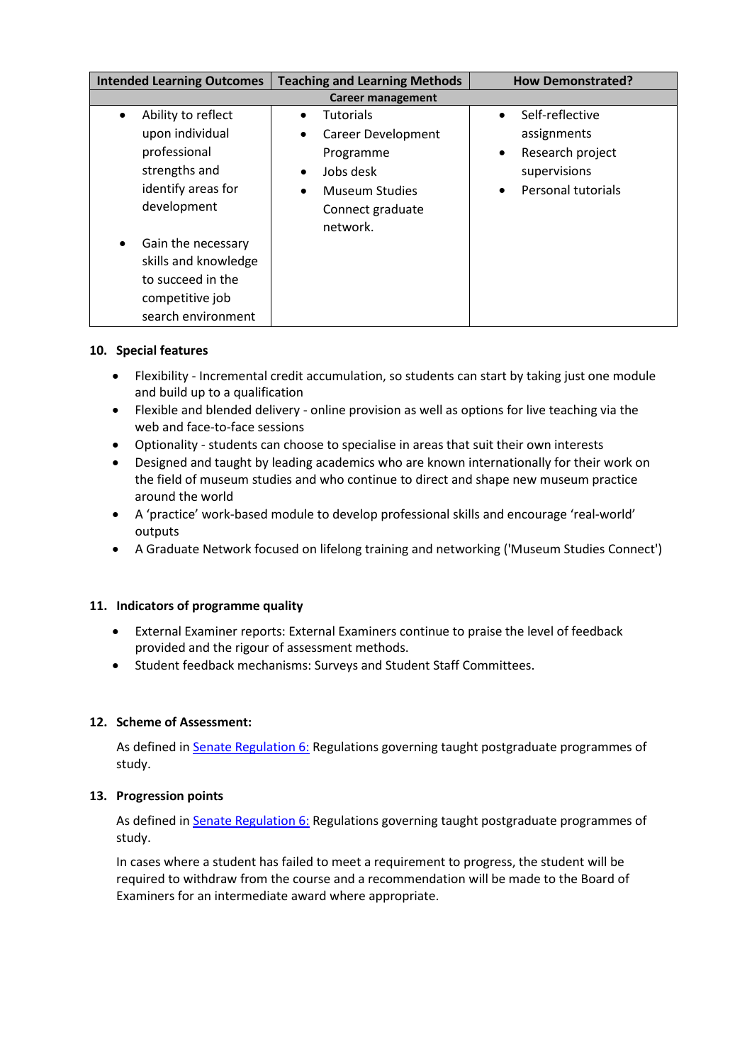| <b>Intended Learning Outcomes</b>                                                                                       | <b>Teaching and Learning Methods</b>                                                                          | <b>How Demonstrated?</b>                                                                                   |
|-------------------------------------------------------------------------------------------------------------------------|---------------------------------------------------------------------------------------------------------------|------------------------------------------------------------------------------------------------------------|
| <b>Career management</b>                                                                                                |                                                                                                               |                                                                                                            |
| Ability to reflect<br>$\bullet$<br>upon individual<br>professional<br>strengths and<br>identify areas for               | <b>Tutorials</b><br><b>Career Development</b><br>Programme<br>Jobs desk<br>$\bullet$<br><b>Museum Studies</b> | Self-reflective<br>$\bullet$<br>assignments<br>Research project<br>٠<br>supervisions<br>Personal tutorials |
| development<br>Gain the necessary<br>skills and knowledge<br>to succeed in the<br>competitive job<br>search environment | Connect graduate<br>network.                                                                                  |                                                                                                            |

# **10. Special features**

- Flexibility Incremental credit accumulation, so students can start by taking just one module and build up to a qualification
- Flexible and blended delivery online provision as well as options for live teaching via the web and face-to-face sessions
- Optionality students can choose to specialise in areas that suit their own interests
- Designed and taught by leading academics who are known internationally for their work on the field of museum studies and who continue to direct and shape new museum practice around the world
- A 'practice' work-based module to develop professional skills and encourage 'real-world' outputs
- A Graduate Network focused on lifelong training and networking ('Museum Studies Connect')

# **11. Indicators of programme quality**

- External Examiner reports: External Examiners continue to praise the level of feedback provided and the rigour of assessment methods.
- Student feedback mechanisms: Surveys and Student Staff Committees.

# **12. Scheme of Assessment:**

As defined i[n Senate Regulation 6:](http://www.le.ac.uk/senate-regulation6) Regulations governing taught postgraduate programmes of study.

#### **13. Progression points**

As defined in **Senate Regulation 6:** Regulations governing taught postgraduate programmes of study.

In cases where a student has failed to meet a requirement to progress, the student will be required to withdraw from the course and a recommendation will be made to the Board of Examiners for an intermediate award where appropriate.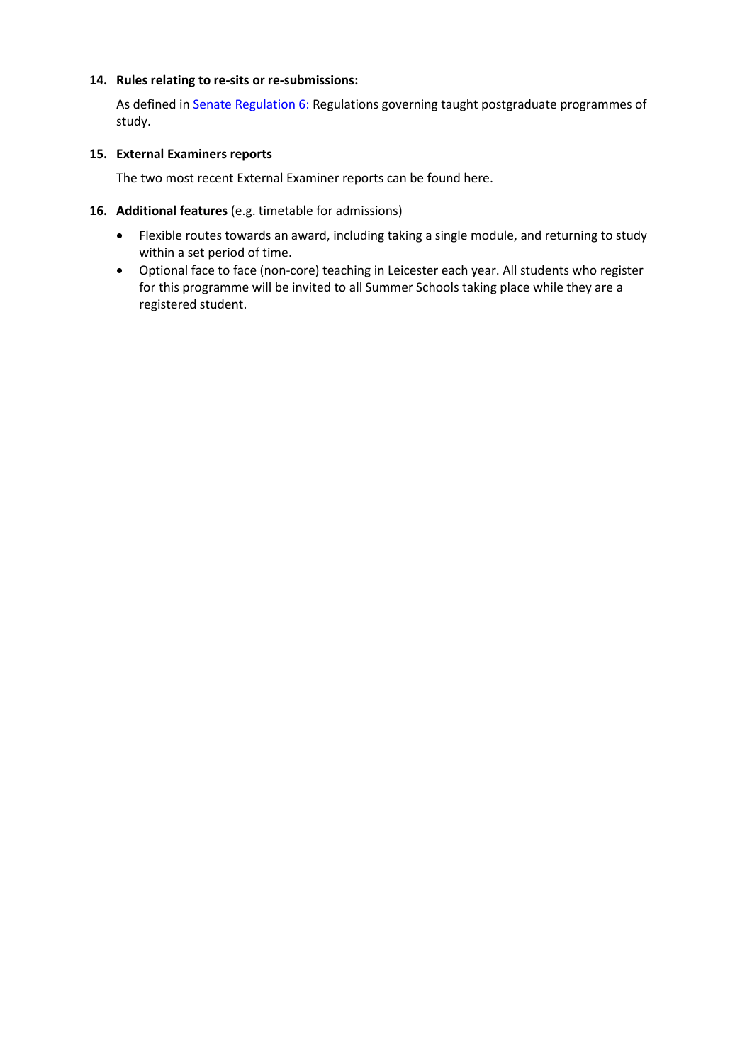### **14. Rules relating to re-sits or re-submissions:**

As defined i[n Senate Regulation 6:](http://www.le.ac.uk/senate-regulation6) Regulations governing taught postgraduate programmes of study.

### **15. External Examiners reports**

The two most recent External Examiner reports can be found here.

## **16. Additional features** (e.g. timetable for admissions)

- Flexible routes towards an award, including taking a single module, and returning to study within a set period of time.
- Optional face to face (non-core) teaching in Leicester each year. All students who register for this programme will be invited to all Summer Schools taking place while they are a registered student.